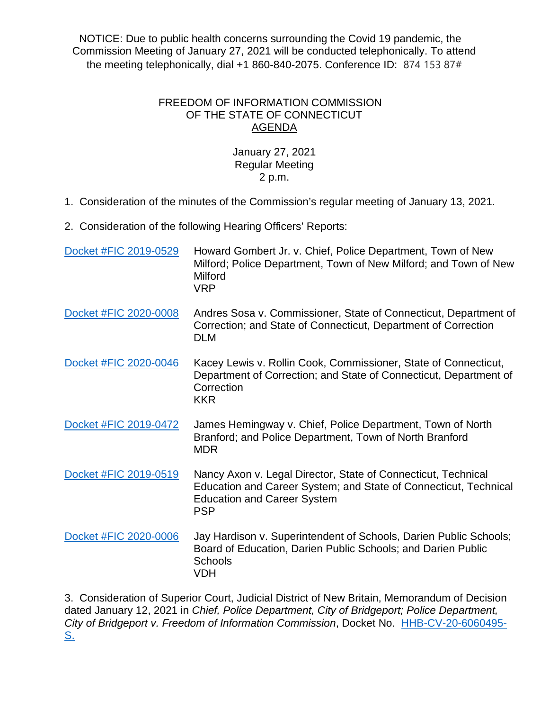NOTICE: Due to public health concerns surrounding the Covid 19 pandemic, the Commission Meeting of January 27, 2021 will be conducted telephonically. To attend the meeting telephonically, dial  $+1860-840-2075$ . Conference ID: 874 153 87#

## FREEDOM OF INFORMATION COMMISSION OF THE STATE OF CONNECTICUT AGENDA

## January 27, 2021 Regular Meeting 2 p.m.

1. Consideration of the minutes of the Commission's regular meeting of January 13, 2021.

2. Consideration of the following Hearing Officers' Reports:

| Docket #FIC 2019-0529 | Howard Gombert Jr. v. Chief, Police Department, Town of New<br>Milford; Police Department, Town of New Milford; and Town of New<br>Milford<br><b>VRP</b>                              |
|-----------------------|---------------------------------------------------------------------------------------------------------------------------------------------------------------------------------------|
| Docket #FIC 2020-0008 | Andres Sosa v. Commissioner, State of Connecticut, Department of<br>Correction; and State of Connecticut, Department of Correction<br><b>DLM</b>                                      |
| Docket #FIC 2020-0046 | Kacey Lewis v. Rollin Cook, Commissioner, State of Connecticut,<br>Department of Correction; and State of Connecticut, Department of<br>Correction<br><b>KKR</b>                      |
| Docket #FIC 2019-0472 | James Hemingway v. Chief, Police Department, Town of North<br>Branford; and Police Department, Town of North Branford<br><b>MDR</b>                                                   |
| Docket #FIC 2019-0519 | Nancy Axon v. Legal Director, State of Connecticut, Technical<br>Education and Career System; and State of Connecticut, Technical<br><b>Education and Career System</b><br><b>PSP</b> |
| Docket #FIC 2020-0006 | Jay Hardison v. Superintendent of Schools, Darien Public Schools;<br>Board of Education, Darien Public Schools; and Darien Public<br>Schools<br><b>VDH</b>                            |

3. Consideration of Superior Court, Judicial District of New Britain, Memorandum of Decision dated January 12, 2021 in *Chief, Police Department, City of Bridgeport; Police Department, City of Bridgeport v. Freedom of Information Commission*, Docket No. [HHB-CV-20-6060495-](http://civilinquiry.jud.ct.gov/DocumentInquiry/DocumentInquiry.aspx?DocumentNo=20060131) <u>[S.](http://civilinquiry.jud.ct.gov/DocumentInquiry/DocumentInquiry.aspx?DocumentNo=20060131)</u>